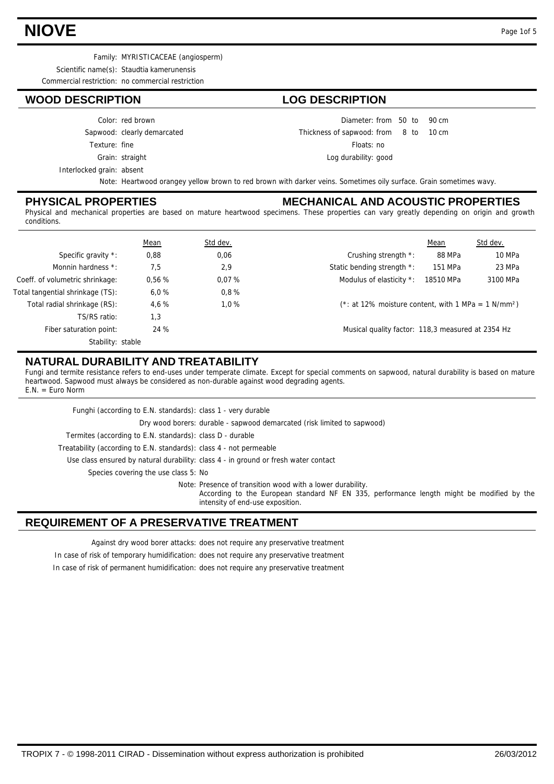# **NIOVE** Page 1of 5

Family: MYRISTICACEAE (angiosperm)

Scientific name(s): Staudtia kamerunensis

Commercial restriction: no commercial restriction

### **WOOD DESCRIPTION LOG DESCRIPTION**

Color: red brown

Sapwood: clearly demarcated

Texture: fine

Grain: straight

Interlocked grain: absent

Note: Heartwood orangey yellow brown to red brown with darker veins. Sometimes oily surface. Grain sometimes wavy.

### **PHYSICAL PROPERTIES**

#### **MECHANICAL AND ACOUSTIC PROPERTIES**

Diameter: from 50 to 90 cm

Floats: no Log durability: good

Thickness of sapwood:

8 10

 $10 \text{ cm}$ 

Physical and mechanical properties are based on mature heartwood specimens. These properties can vary greatly depending on origin and growth conditions.

|                                  | <b>Mean</b> | Std dev. |                                                                    | Mean      | Std dev. |  |  |
|----------------------------------|-------------|----------|--------------------------------------------------------------------|-----------|----------|--|--|
| Specific gravity *:              | 0,88        | 0,06     | Crushing strength *:                                               | 88 MPa    | 10 MPa   |  |  |
| Monnin hardness *:               | 7.5         | 2,9      | Static bending strength *:                                         | 151 MPa   | 23 MPa   |  |  |
| Coeff. of volumetric shrinkage:  | 0.56%       | $0.07\%$ | Modulus of elasticity *:                                           | 18510 MPa | 3100 MPa |  |  |
| Total tangential shrinkage (TS): | 6.0%        | 0.8%     |                                                                    |           |          |  |  |
| Total radial shrinkage (RS):     | 4,6 %       | 1.0%     | $(*: at 12\%$ moisture content, with 1 MPa = 1 N/mm <sup>2</sup> ) |           |          |  |  |
| TS/RS ratio:                     | 1,3         |          |                                                                    |           |          |  |  |
| Fiber saturation point:          | 24 %        |          | Musical quality factor: 118,3 measured at 2354 Hz                  |           |          |  |  |
| Stability: stable                |             |          |                                                                    |           |          |  |  |

### **NATURAL DURABILITY AND TREATABILITY**

Fungi and termite resistance refers to end-uses under temperate climate. Except for special comments on sapwood, natural durability is based on mature heartwood. Sapwood must always be considered as non-durable against wood degrading agents. E.N. = Euro Norm

| Funghi (according to E.N. standards): class 1 - very durable        |                                                                                                                                                                                             |
|---------------------------------------------------------------------|---------------------------------------------------------------------------------------------------------------------------------------------------------------------------------------------|
|                                                                     | Dry wood borers: durable - sapwood demarcated (risk limited to sapwood)                                                                                                                     |
| Termites (according to E.N. standards): class D - durable           |                                                                                                                                                                                             |
| Treatability (according to E.N. standards): class 4 - not permeable |                                                                                                                                                                                             |
|                                                                     | Use class ensured by natural durability: class 4 - in ground or fresh water contact                                                                                                         |
| Species covering the use class 5: No                                |                                                                                                                                                                                             |
|                                                                     | Note: Presence of transition wood with a lower durability.<br>According to the European standard NF EN 335, performance length might be modified by the<br>intensity of end-use exposition. |

## **REQUIREMENT OF A PRESERVATIVE TREATMENT**

Against dry wood borer attacks: does not require any preservative treatment

In case of risk of temporary humidification: does not require any preservative treatment

In case of risk of permanent humidification: does not require any preservative treatment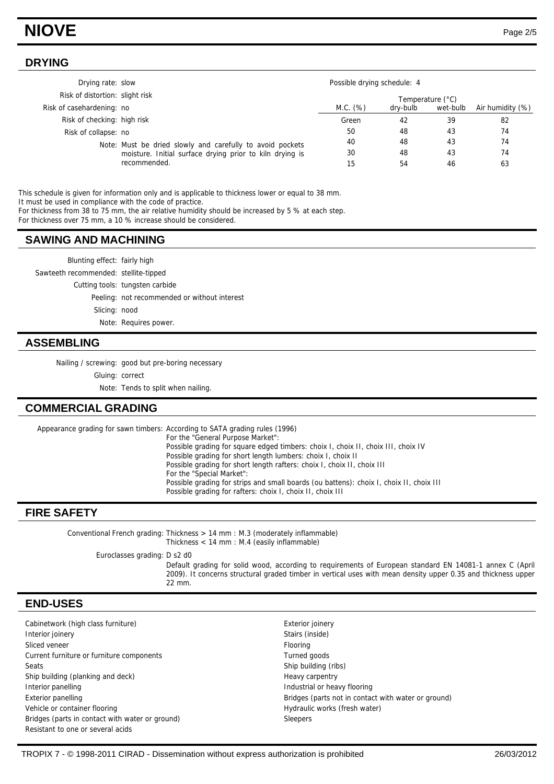# **NIOVE** Page 2/5

#### **DRYING**

| Drying rate: slow               | Possible drying schedule: 4                                                                                                           |                  |          |          |                  |
|---------------------------------|---------------------------------------------------------------------------------------------------------------------------------------|------------------|----------|----------|------------------|
| Risk of distortion: slight risk |                                                                                                                                       | Temperature (°C) |          |          |                  |
| Risk of casehardening: no       |                                                                                                                                       | M.C. (%)         | dry-bulb | wet-bulb | Air humidity (%) |
| Risk of checking: high risk     |                                                                                                                                       | Green            | 42       | 39       | 82               |
| Risk of collapse: no            |                                                                                                                                       | 50               | 48       | 43       | 74               |
|                                 | Note: Must be dried slowly and carefully to avoid pockets<br>moisture. Initial surface drying prior to kiln drying is<br>recommended. | 40               | 48       | 43       | 74               |
|                                 |                                                                                                                                       | 30               | 48       | 43       | 74               |
|                                 |                                                                                                                                       | 15               | 54       | 46       | 63               |

This schedule is given for information only and is applicable to thickness lower or equal to 38 mm. It must be used in compliance with the code of practice.

For thickness from 38 to 75 mm, the air relative humidity should be increased by 5 % at each step.

For thickness over 75 mm, a 10 % increase should be considered.

**SAWING AND MACHINING**

Blunting effect: fairly high Sawteeth recommended: stellite-tipped Cutting tools: tungsten carbide Peeling: not recommended or without interest Slicing: nood Note: Requires power.

#### **ASSEMBLING**

Nailing / screwing: good but pre-boring necessary

Gluing: correct

Note: Tends to split when nailing.

## **COMMERCIAL GRADING**

Appearance grading for sawn timbers: According to SATA grading rules (1996) For the "General Purpose Market": Possible grading for square edged timbers: choix I, choix II, choix III, choix IV Possible grading for short length lumbers: choix I, choix II Possible grading for short length rafters: choix I, choix II, choix III For the "Special Market": Possible grading for strips and small boards (ou battens): choix I, choix II, choix III Possible grading for rafters: choix I, choix II, choix III

### **FIRE SAFETY**

Conventional French grading: Thickness  $> 14$  mm : M.3 (moderately inflammable) Thickness < 14 mm : M.4 (easily inflammable) Euroclasses grading: D s2 d0 Default grading for solid wood, according to requirements of European standard EN 14081-1 annex C (April 2009). It concerns structural graded timber in vertical uses with mean density upper 0.35 and thickness upper 22 mm.

#### **END-USES**

Cabinetwork (high class furniture) exterior ioinery exterior joinery **Interior joinery** Stairs (inside) Sliced veneer Flooring Current furniture or furniture components Turned goods Turned goods Seats Ship building (ribs) Ship building (planking and deck) and the state of the Heavy carpentry Interior panelling Interior panelling Industrial or heavy flooring Industrial or heavy flooring Vehicle or container flooring example of the Hydraulic works (fresh water) Bridges (parts in contact with water or ground) Sleepers Resistant to one or several acids

Exterior panelling Exterior panelling Bridges (parts not in contact with water or ground)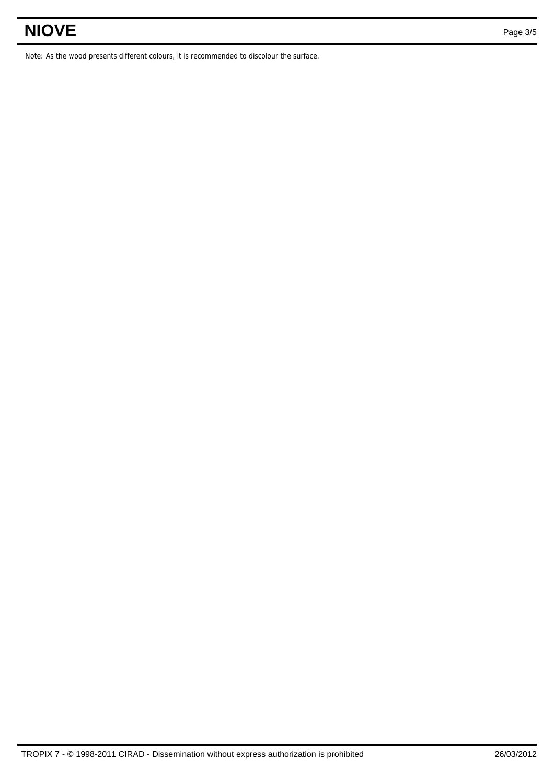# **NIOVE** Page 3/5

Note: As the wood presents different colours, it is recommended to discolour the surface.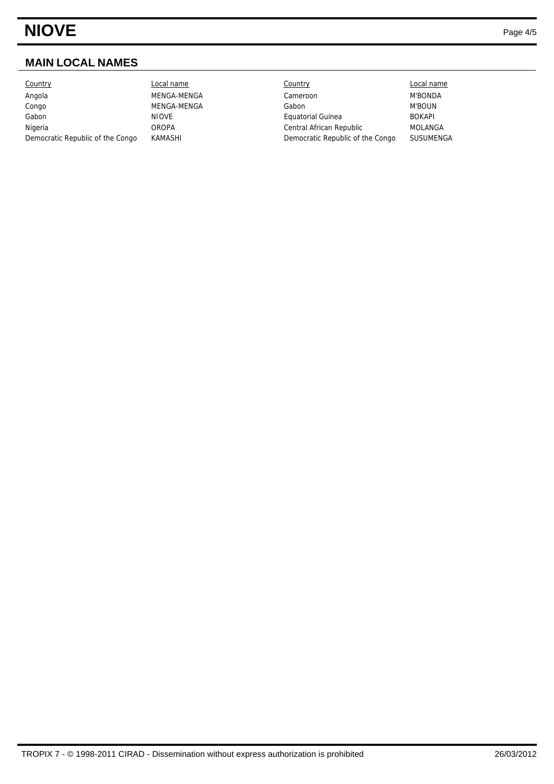# **NIOVE** Page 4/5

# **MAIN LOCAL NAMES**

Country Local name Country Local name Angola **MENGA-MENGA Cameroon** Cameroon M'BONDA Congo MENGA-MENGA Gabon Gabon M'BOUN Gabon **NIOVE Equatorial Guinea** BOKAPI Nigeria **CENTRA CENTRA CENTRAL CENTRAL CENTRAL CENTRAL CENTRAL CENTRAL CENTRAL CENTRAL CENTRAL CENTRAL MOLANGA** Democratic Republic of the Congo KAMASHI Democratic Republic of the Congo SUSUMENGA